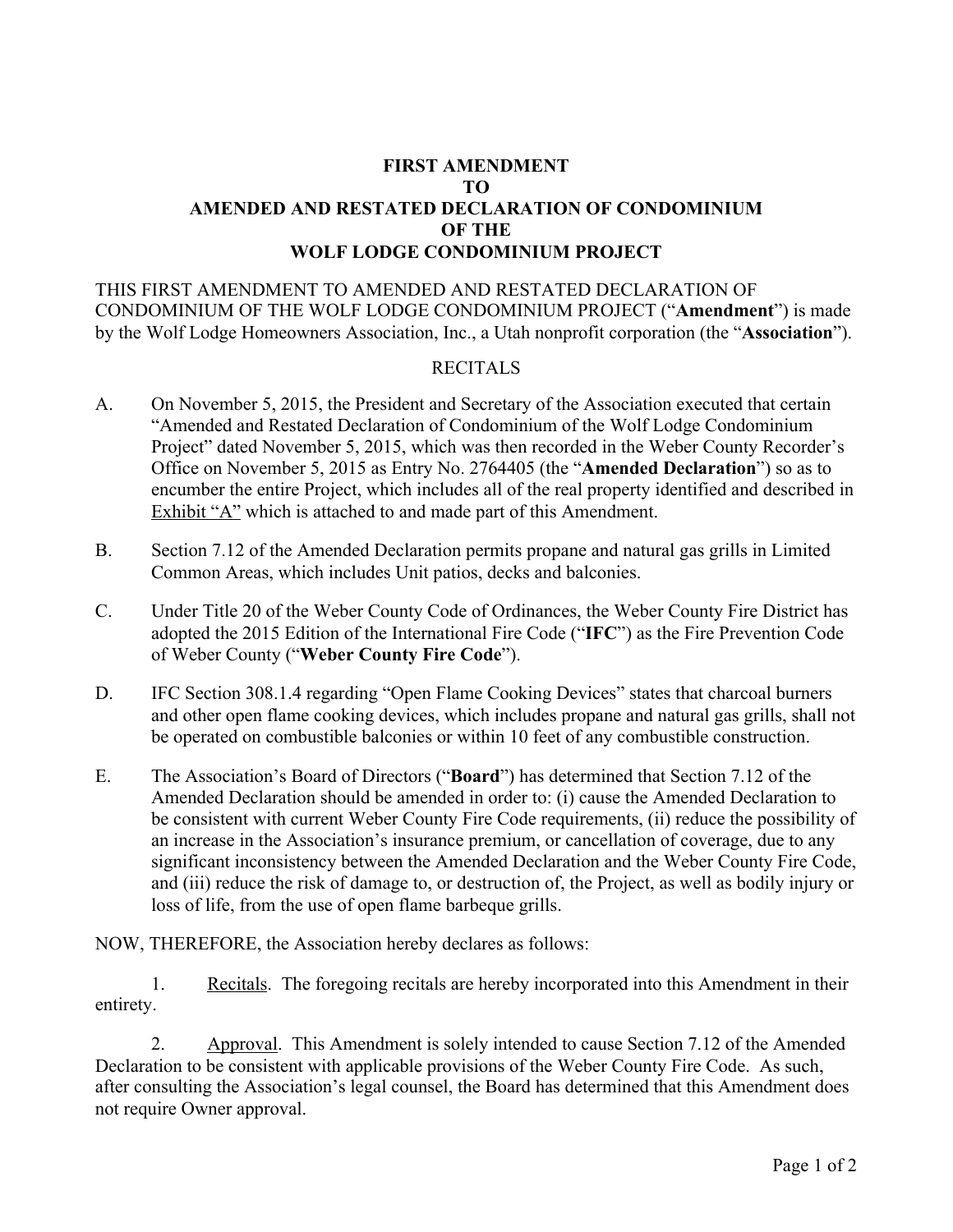## **FIRST AMENDMENT TO AMENDED AND RESTATED DECLARATION OF CONDOMINIUM OF THE WOLF LODGE CONDOMINIUM PROJECT**

THIS FIRST AMENDMENT TO AMENDED AND RESTATED DECLARATION OF CONDOMINIUM OF THE WOLF LODGE CONDOMINIUM PROJECT ("**Amendment**") is made by the Wolf Lodge Homeowners Association, Inc., a Utah nonprofit corporation (the "**Association**").

### RECITALS

- A. On November 5, 2015, the President and Secretary of the Association executed that certain "Amended and Restated Declaration of Condominium of the Wolf Lodge Condominium Project" dated November 5, 2015, which was then recorded in the Weber County Recorder's Office on November 5, 2015 as Entry No. 2764405 (the "**Amended Declaration**") so as to encumber the entire Project, which includes all of the real property identified and described in Exhibit "A" which is attached to and made part of this Amendment.
- B. Section 7.12 of the Amended Declaration permits propane and natural gas grills in Limited Common Areas, which includes Unit patios, decks and balconies.
- C. Under Title 20 of the Weber County Code of Ordinances, the Weber County Fire District has adopted the 2015 Edition of the International Fire Code ("**IFC**") as the Fire Prevention Code of Weber County ("**Weber County Fire Code**").
- D. IFC Section 308.1.4 regarding "Open Flame Cooking Devices" states that charcoal burners and other open flame cooking devices, which includes propane and natural gas grills, shall not be operated on combustible balconies or within 10 feet of any combustible construction.
- E. The Association's Board of Directors ("**Board**") has determined that Section 7.12 of the Amended Declaration should be amended in order to: (i) cause the Amended Declaration to be consistent with current Weber County Fire Code requirements, (ii) reduce the possibility of an increase in the Association's insurance premium, or cancellation of coverage, due to any significant inconsistency between the Amended Declaration and the Weber County Fire Code, and (iii) reduce the risk of damage to, or destruction of, the Project, as well as bodily injury or loss of life, from the use of open flame barbeque grills.

NOW, THEREFORE, the Association hereby declares as follows:

1. Recitals. The foregoing recitals are hereby incorporated into this Amendment in their entirety.

2. Approval. This Amendment is solely intended to cause Section 7.12 of the Amended Declaration to be consistent with applicable provisions of the Weber County Fire Code. As such, after consulting the Association's legal counsel, the Board has determined that this Amendment does not require Owner approval.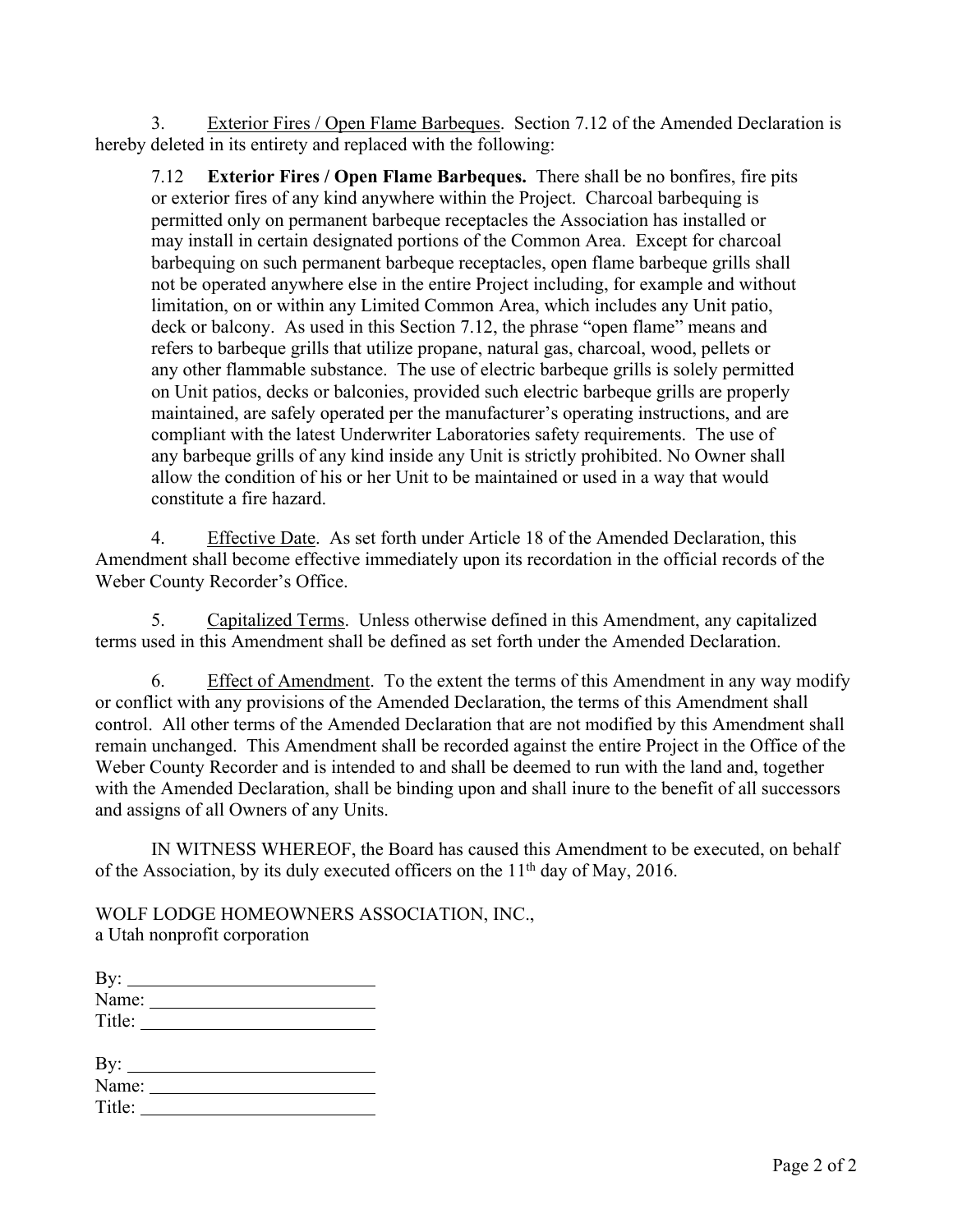3. Exterior Fires / Open Flame Barbeques. Section 7.12 of the Amended Declaration is hereby deleted in its entirety and replaced with the following:

7.12 **Exterior Fires / Open Flame Barbeques.** There shall be no bonfires, fire pits or exterior fires of any kind anywhere within the Project. Charcoal barbequing is permitted only on permanent barbeque receptacles the Association has installed or may install in certain designated portions of the Common Area. Except for charcoal barbequing on such permanent barbeque receptacles, open flame barbeque grills shall not be operated anywhere else in the entire Project including, for example and without limitation, on or within any Limited Common Area, which includes any Unit patio, deck or balcony. As used in this Section 7.12, the phrase "open flame" means and refers to barbeque grills that utilize propane, natural gas, charcoal, wood, pellets or any other flammable substance. The use of electric barbeque grills is solely permitted on Unit patios, decks or balconies, provided such electric barbeque grills are properly maintained, are safely operated per the manufacturer's operating instructions, and are compliant with the latest Underwriter Laboratories safety requirements. The use of any barbeque grills of any kind inside any Unit is strictly prohibited. No Owner shall allow the condition of his or her Unit to be maintained or used in a way that would constitute a fire hazard.

4. Effective Date. As set forth under Article 18 of the Amended Declaration, this Amendment shall become effective immediately upon its recordation in the official records of the Weber County Recorder's Office.

5. Capitalized Terms. Unless otherwise defined in this Amendment, any capitalized terms used in this Amendment shall be defined as set forth under the Amended Declaration.

6. Effect of Amendment. To the extent the terms of this Amendment in any way modify or conflict with any provisions of the Amended Declaration, the terms of this Amendment shall control. All other terms of the Amended Declaration that are not modified by this Amendment shall remain unchanged. This Amendment shall be recorded against the entire Project in the Office of the Weber County Recorder and is intended to and shall be deemed to run with the land and, together with the Amended Declaration, shall be binding upon and shall inure to the benefit of all successors and assigns of all Owners of any Units.

IN WITNESS WHEREOF, the Board has caused this Amendment to be executed, on behalf of the Association, by its duly executed officers on the  $11<sup>th</sup>$  day of May, 2016.

WOLF LODGE HOMEOWNERS ASSOCIATION, INC., a Utah nonprofit corporation

|       | By: $\qquad \qquad$ |
|-------|---------------------|
|       |                     |
|       |                     |
|       |                     |
|       | By: $\qquad \qquad$ |
| Name: |                     |
|       |                     |
|       |                     |